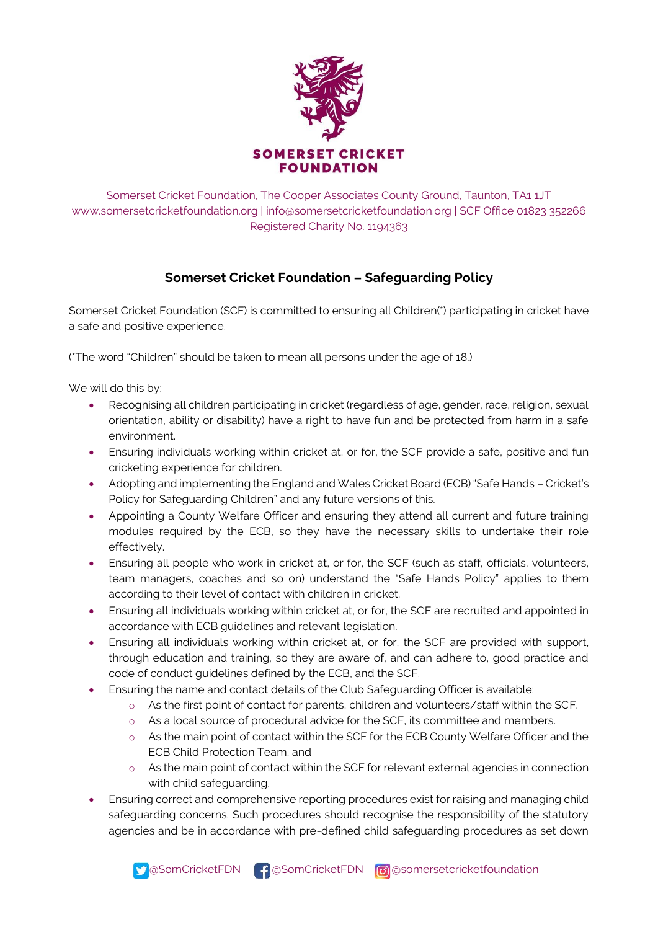

Somerset Cricket Foundation, The Cooper Associates County Ground, Taunton, TA1 1JT [www.somersetcricketfoundation.org](http://www.somersetcricketboard.co.uk/) | [info@somersetcricketfoundation.org](mailto:info@somersetcricketfoundation.org) | SCF Office 01823 352266 Registered Charity No. 1194363

## **Somerset Cricket Foundation – Safeguarding Policy**

Somerset Cricket Foundation (SCF) is committed to ensuring all Children(\*) participating in cricket have a safe and positive experience.

(\*The word "Children" should be taken to mean all persons under the age of 18.)

We will do this by:

- Recognising all children participating in cricket (regardless of age, gender, race, religion, sexual orientation, ability or disability) have a right to have fun and be protected from harm in a safe environment.
- Ensuring individuals working within cricket at, or for, the SCF provide a safe, positive and fun cricketing experience for children.
- Adopting and implementing the England and Wales Cricket Board (ECB) "Safe Hands Cricket's Policy for Safeguarding Children" and any future versions of this.
- Appointing a County Welfare Officer and ensuring they attend all current and future training modules required by the ECB, so they have the necessary skills to undertake their role effectively.
- Ensuring all people who work in cricket at, or for, the SCF (such as staff, officials, volunteers, team managers, coaches and so on) understand the "Safe Hands Policy" applies to them according to their level of contact with children in cricket.
- Ensuring all individuals working within cricket at, or for, the SCF are recruited and appointed in accordance with ECB guidelines and relevant legislation.
- Ensuring all individuals working within cricket at, or for, the SCF are provided with support, through education and training, so they are aware of, and can adhere to, good practice and code of conduct guidelines defined by the ECB, and the SCF.
- Ensuring the name and contact details of the Club Safeguarding Officer is available:
	- o As the first point of contact for parents, children and volunteers/staff within the SCF.
	- o As a local source of procedural advice for the SCF, its committee and members.
	- o As the main point of contact within the SCF for the ECB County Welfare Officer and the ECB Child Protection Team, and
	- o As the main point of contact within the SCF for relevant external agencies in connection with child safeguarding.
- Ensuring correct and comprehensive reporting procedures exist for raising and managing child safeguarding concerns. Such procedures should recognise the responsibility of the statutory agencies and be in accordance with pre-defined child safeguarding procedures as set down